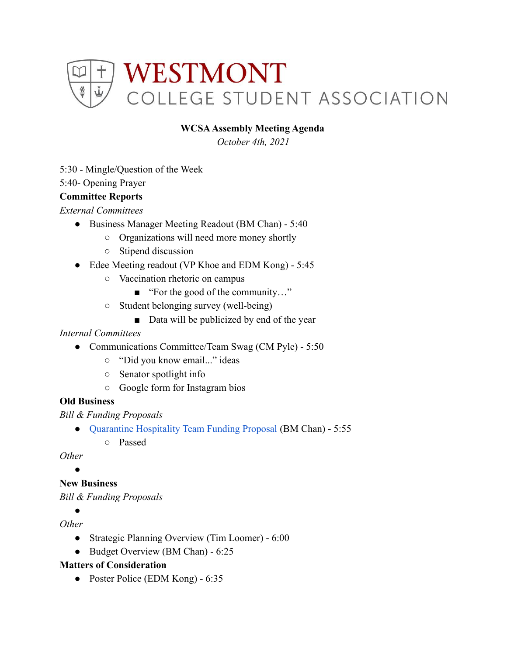

## **WCSAAssembly Meeting Agenda**

*October 4th, 2021*

5:30 - Mingle/Question of the Week

5:40- Opening Prayer

### **Committee Reports**

*External Committees*

- Business Manager Meeting Readout (BM Chan) 5:40
	- Organizations will need more money shortly
	- Stipend discussion
- Edee Meeting readout (VP Khoe and EDM Kong) 5:45
	- Vaccination rhetoric on campus
		- "For the good of the community..."
	- Student belonging survey (well-being)
		- Data will be publicized by end of the year

#### *Internal Committees*

- Communications Committee/Team Swag (CM Pyle) 5:50
	- "Did you know email..." ideas
	- Senator spotlight info
	- Google form for Instagram bios

#### **Old Business**

*Bill & Funding Proposals*

- [Quarantine Hospitality Team Funding Proposal](https://drive.google.com/drive/u/0/folders/1lpBa9euwGHKuq9cLARjDbQxYBe7GiNRT) (BM Chan) 5:55
	- Passed

*Other*

 $\blacktriangle$ 

# **New Business**

*Bill & Funding Proposals*

 $\bullet$ 

## *Other*

- Strategic Planning Overview (Tim Loomer) 6:00
- Budget Overview (BM Chan) 6:25

## **Matters of Consideration**

● Poster Police (EDM Kong) - 6:35